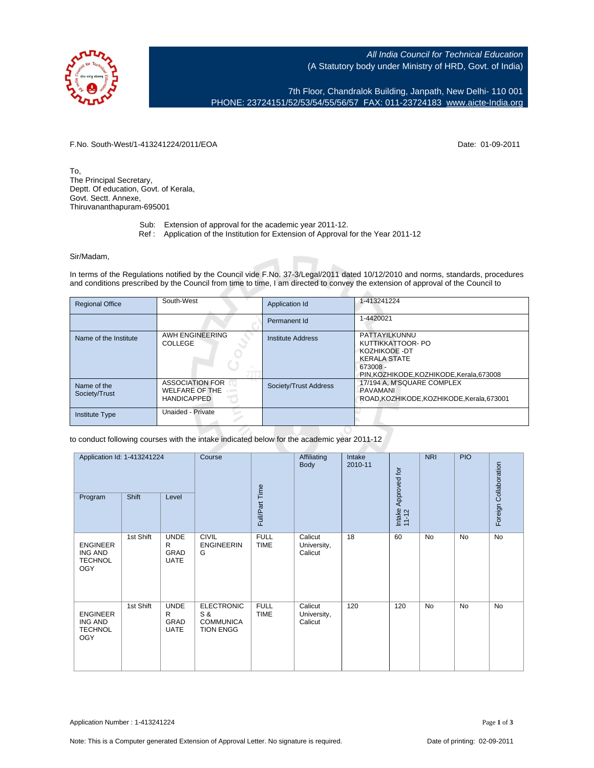

All India Council for Technical Education (A Statutory body under Ministry of HRD, Govt. of India)

7th Floor, Chandralok Building, Janpath, New Delhi- 110 001 PHONE: 23724151/52/53/54/55/56/57 FAX: 011-23724183 [www.aicte-India.org](http://www.aicte-India.org)

F.No. South-West/1-413241224/2011/EOA Date: 01-09-2011

To, The Principal Secretary, Deptt. Of education, Govt. of Kerala, Govt. Sectt. Annexe, Thiruvananthapuram-695001

- Sub: Extension of approval for the academic year 2011-12.
- Ref : Application of the Institution for Extension of Approval for the Year 2011-12

## Sir/Madam,

In terms of the Regulations notified by the Council vide F.No. 37-3/Legal/2011 dated 10/12/2010 and norms, standards, procedures and conditions prescribed by the Council from time to time, I am directed to convey the extension of approval of the Council to

| <b>Regional Office</b>       | South-West                                                            | Application Id           | 1-413241224                                                                                                                          |
|------------------------------|-----------------------------------------------------------------------|--------------------------|--------------------------------------------------------------------------------------------------------------------------------------|
|                              |                                                                       | Permanent Id             | 1-4420021                                                                                                                            |
| Name of the Institute        | AWH ENGINEERING<br>COLLEGE                                            | <b>Institute Address</b> | PATTAYILKUNNU<br>KUTTIKKATTOOR- PO<br>KOZHIKODE - DT<br><b>KERALA STATE</b><br>673008 -<br>PIN, KOZHIKODE, KOZHIKODE, Kerala, 673008 |
| Name of the<br>Society/Trust | <b>ASSOCIATION FOR</b><br><b>WELFARE OF THE</b><br><b>HANDICAPPED</b> | Society/Trust Address    | 17/194 A, M'SQUARE COMPLEX<br>PAVAMANI<br>ROAD, KOZHIKODE, KOZHIKODE, Kerala, 673001                                                 |
| <b>Institute Type</b>        | Unaided - Private                                                     |                          |                                                                                                                                      |

to conduct following courses with the intake indicated below for the academic year 2011-12

| Program                                                           | Application Id: 1-413241224<br><b>Shift</b><br>Level |                                                | Course                                                           | Full/Part Time             | Affiliating<br>Body               | Intake<br>2010-11 | Intake Approved for<br>11-12 | <b>NRI</b> | <b>PIO</b> | Foreign Collaboration |
|-------------------------------------------------------------------|------------------------------------------------------|------------------------------------------------|------------------------------------------------------------------|----------------------------|-----------------------------------|-------------------|------------------------------|------------|------------|-----------------------|
| <b>ENGINEER</b><br><b>ING AND</b><br><b>TECHNOL</b><br><b>OGY</b> | 1st Shift                                            | <b>UNDE</b><br>R<br>GRAD<br><b>UATE</b>        | <b>CIVIL</b><br><b>ENGINEERIN</b><br>G                           | <b>FULL</b><br><b>TIME</b> | Calicut<br>University,<br>Calicut | 18                | 60                           | <b>No</b>  | <b>No</b>  | No                    |
| <b>ENGINEER</b><br><b>ING AND</b><br><b>TECHNOL</b><br><b>OGY</b> | 1st Shift                                            | <b>UNDE</b><br>R<br><b>GRAD</b><br><b>UATE</b> | <b>ELECTRONIC</b><br>S &<br><b>COMMUNICA</b><br><b>TION ENGG</b> | <b>FULL</b><br><b>TIME</b> | Calicut<br>University,<br>Calicut | 120               | 120                          | <b>No</b>  | <b>No</b>  | No                    |

Application Number : 1-413241224 Page 1 of 3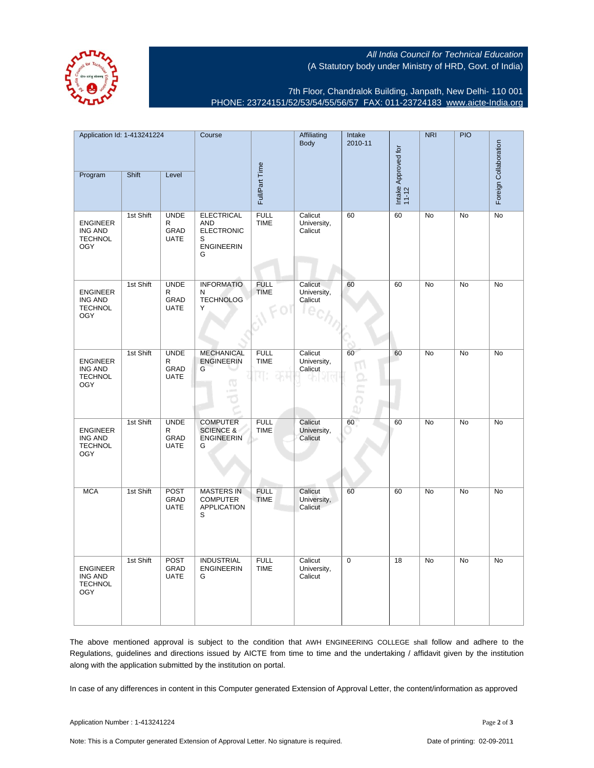All India Council for Technical Education (A Statutory body under Ministry of HRD, Govt. of India)



7th Floor, Chandralok Building, Janpath, New Delhi- 110 001 PHONE: 23724151/52/53/54/55/56/57 FAX: 011-23724183 [www.aicte-India.org](http://www.aicte-India.org)

| Application Id: 1-413241224<br>Shift<br>Program<br>Level          |           | Course                                  | Full/Part Time                                                               | Affiliating<br><b>Body</b> | Intake<br>2010-11                 | Intake Approved for<br>11-12 | <b>NRI</b> | <b>PIO</b> | Foreign Collaboration |    |
|-------------------------------------------------------------------|-----------|-----------------------------------------|------------------------------------------------------------------------------|----------------------------|-----------------------------------|------------------------------|------------|------------|-----------------------|----|
|                                                                   |           |                                         |                                                                              |                            |                                   |                              |            |            |                       |    |
| <b>ENGINEER</b><br>ING AND<br><b>TECHNOL</b><br><b>OGY</b>        | 1st Shift | <b>UNDE</b><br>R<br>GRAD<br><b>UATE</b> | <b>ELECTRICAL</b><br>AND<br><b>ELECTRONIC</b><br>S<br><b>ENGINEERIN</b><br>G | <b>FULL</b><br><b>TIME</b> | Calicut<br>University,<br>Calicut | 60                           | 60         | No         | No                    | No |
| <b>ENGINEER</b><br><b>ING AND</b><br><b>TECHNOL</b><br><b>OGY</b> | 1st Shift | <b>UNDE</b><br>R<br>GRAD<br><b>UATE</b> | <b>INFORMATIO</b><br>N<br><b>TECHNOLOG</b><br>Υ                              | <b>FULL</b><br><b>TIME</b> | Calicut<br>University,<br>Calicut | 60                           | 60         | No         | No                    | No |
| <b>ENGINEER</b><br>ING AND<br><b>TECHNOL</b><br><b>OGY</b>        | 1st Shift | <b>UNDE</b><br>R<br>GRAD<br><b>UATE</b> | <b>MECHANICAL</b><br><b>ENGINEERIN</b><br>G<br>ത                             | <b>FULL</b><br><b>TIME</b> | Calicut<br>University,<br>Calicut | 60                           | 60         | No         | No                    | No |
| <b>ENGINEER</b><br>ING AND<br><b>TECHNOL</b><br><b>OGY</b>        | 1st Shift | <b>UNDE</b><br>R<br>GRAD<br>UATE        | <b>COMPUTER</b><br><b>SCIENCE &amp;</b><br><b>ENGINEERIN</b><br>G            | <b>FULL</b><br><b>TIME</b> | Calicut<br>University,<br>Calicut | 60                           | 60         | No         | No                    | No |
| <b>MCA</b>                                                        | 1st Shift | POST<br>GRAD<br><b>UATE</b>             | <b>MASTERS IN</b><br><b>COMPUTER</b><br><b>APPLICATION</b><br>S              | <b>FULL</b><br><b>TIME</b> | Calicut<br>University,<br>Calicut | 60                           | 60         | No         | No                    | No |
| ENGINEER<br><b>ING AND</b><br><b>TECHNOL</b><br><b>OGY</b>        | 1st Shift | <b>POST</b><br>GRAD<br><b>UATE</b>      | <b>INDUSTRIAL</b><br><b>ENGINEERIN</b><br>G                                  | <b>FULL</b><br><b>TIME</b> | Calicut<br>University,<br>Calicut | 0                            | 18         | No         | No                    | No |

The above mentioned approval is subject to the condition that AWH ENGINEERING COLLEGE shall follow and adhere to the Regulations, guidelines and directions issued by AICTE from time to time and the undertaking / affidavit given by the institution along with the application submitted by the institution on portal.

In case of any differences in content in this Computer generated Extension of Approval Letter, the content/information as approved